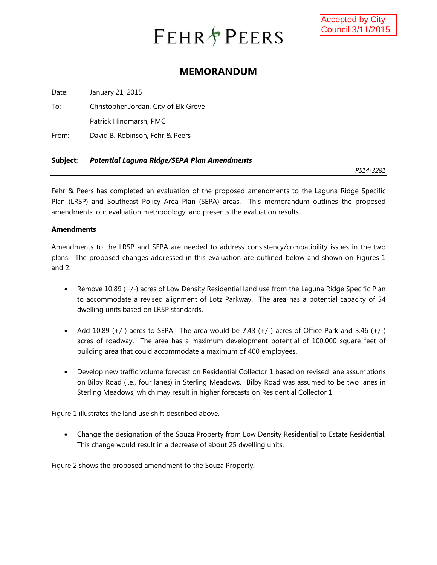# **FEHR PEERS**

## **MEMORANDUM**

Date: January 21, 2015

To: Christopher Jordan, City of Elk Grove Patrick Hindmarsh, PMC

From: David B. Robinson, Fehr & Peers

#### **Subject**: *Potential Laguna Ridg ge/SEPA Plan n Amendmen nts*

*RS14 4-3281* 

Fehr & Peers has completed an evaluation of the proposed amendments to the Laguna Ridge Specific Plan (LRSP) and Southeast Policy Area Plan (SEPA) areas. This memorandum outlines the proposed amendments, our evaluation methodology, and presents the evaluation results.

#### **Amendm ments**

Amendments to the LRSP and SEPA are needed to address consistency/compatibility issues in the two plans. The proposed changes addressed in this evaluation are outlined below and shown on Figures 1 and 2:

- **A** to accommodate a revised alignment of Lotz Parkway. The area has a potential capacity of 54 dwelling units based on LRSP standards. emove 10.89 (+/-) acres of Low Density Residential land use from the Laguna Ridge Specific Plan
- Add 10.89  $(+/-)$  acres to SEPA. The area would be 7.43  $(+/-)$  acres of Office Park and 3.46  $(+/-)$ acres of roadway. The area has a maximum development potential of 100,000 square feet of building area that could accommodate a maximum of 400 employees.
- Develop new traffic volume forecast on Residential Collector 1 based on revised lane assumptions on Bilby Road (i.e., four lanes) in Sterling Meadows. Bilby Road was assumed to be two lanes in Sterling Meadows, which may result in higher forecasts on Residential Collector 1.

Figure 1 illustrates the land use shift described above.

• Change the designation of the Souza Property from Low Density Residential to Estate Residential. This change would result in a decrease of about 25 dwelling units.

Figure 2 shows the proposed amendment to the Souza Property.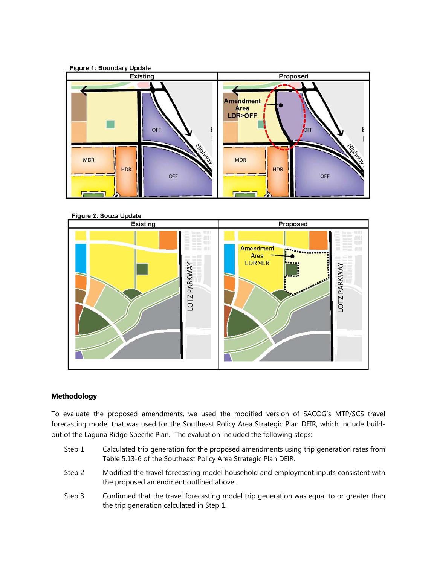



### **Methodology**

To evaluate the proposed amendments, we used the modified version of SACOG's MTP/SCS travel forecasting model that was used for the Southeast Policy Area Strategic Plan DEIR, which include buildout of the Laguna Ridge Specific Plan. The evaluation included the following steps:

- Step 1 Calculated trip generation for the proposed amendments using trip generation rates from Table 5.13-6 of the Southeast Policy Area Strategic Plan DEIR.
- Step 2 Modified the travel forecasting model household and employment inputs consistent with the proposed amendment outlined above.
- Step 3 Confirmed that the travel forecasting model trip generation was equal to or greater than the trip generation calculated in Step 1.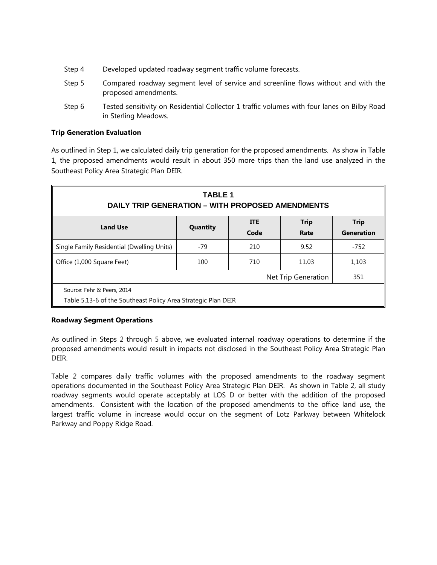- Step 4 Developed updated roadway segment traffic volume forecasts.
- Step 5 Compared roadway segment level of service and screenline flows without and with the proposed amendments.
- Step 6 Tested sensitivity on Residential Collector 1 traffic volumes with four lanes on Bilby Road in Sterling Meadows.

#### **Trip Generation Evaluation**

As outlined in Step 1, we calculated daily trip generation for the proposed amendments. As show in Table 1, the proposed amendments would result in about 350 more trips than the land use analyzed in the Southeast Policy Area Strategic Plan DEIR.

| <b>TABLE 1</b><br><b>DAILY TRIP GENERATION – WITH PROPOSED AMENDMENTS</b>                             |       |     |                     |        |  |  |  |  |
|-------------------------------------------------------------------------------------------------------|-------|-----|---------------------|--------|--|--|--|--|
| <b>Trip</b><br><b>ITE</b><br><b>Trip</b><br><b>Land Use</b><br>Quantity<br>Code<br>Generation<br>Rate |       |     |                     |        |  |  |  |  |
| Single Family Residential (Dwelling Units)                                                            | $-79$ | 210 | 9.52                | $-752$ |  |  |  |  |
| Office (1,000 Square Feet)                                                                            | 100   | 710 | 11.03               | 1,103  |  |  |  |  |
|                                                                                                       |       |     | Net Trip Generation | 351    |  |  |  |  |
| Source: Fehr & Peers, 2014<br>Table 5.13-6 of the Southeast Policy Area Strategic Plan DEIR           |       |     |                     |        |  |  |  |  |

#### **Roadway Segment Operations**

As outlined in Steps 2 through 5 above, we evaluated internal roadway operations to determine if the proposed amendments would result in impacts not disclosed in the Southeast Policy Area Strategic Plan DEIR.

Table 2 compares daily traffic volumes with the proposed amendments to the roadway segment operations documented in the Southeast Policy Area Strategic Plan DEIR. As shown in Table 2, all study roadway segments would operate acceptably at LOS D or better with the addition of the proposed amendments. Consistent with the location of the proposed amendments to the office land use, the largest traffic volume in increase would occur on the segment of Lotz Parkway between Whitelock Parkway and Poppy Ridge Road.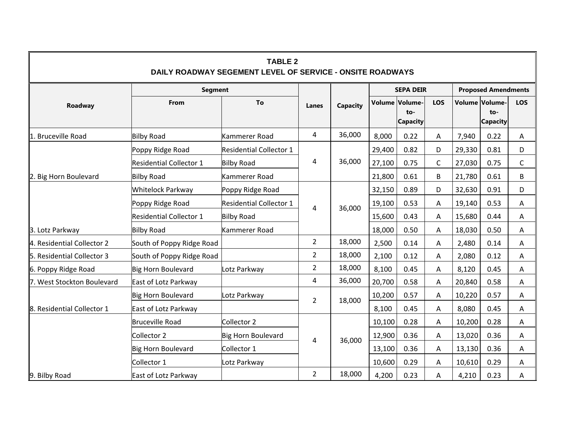| <b>TABLE 2</b><br>DAILY ROADWAY SEGEMENT LEVEL OF SERVICE - ONSITE ROADWAYS |                                |                                |                |          |                  |                                            |             |                            |                                          |             |
|-----------------------------------------------------------------------------|--------------------------------|--------------------------------|----------------|----------|------------------|--------------------------------------------|-------------|----------------------------|------------------------------------------|-------------|
|                                                                             | <b>Segment</b>                 |                                |                |          | <b>SEPA DEIR</b> |                                            |             | <b>Proposed Amendments</b> |                                          |             |
| Roadway                                                                     | From                           | To                             | Lanes          | Capacity |                  | Volume Volume-<br>$to-$<br><b>Capacity</b> | LOS         |                            | Volume Volume-<br>to-<br><b>Capacity</b> | LOS         |
| <b>Bruceville Road</b><br>1.                                                | <b>Bilby Road</b>              | Kammerer Road                  | $\overline{4}$ | 36,000   | 8,000            | 0.22                                       | Α           | 7,940                      | 0.22                                     | Α           |
|                                                                             | Poppy Ridge Road               | <b>Residential Collector 1</b> |                | 36,000   | 29,400           | 0.82                                       | D           | 29,330                     | 0.81                                     | D           |
|                                                                             | <b>Residential Collector 1</b> | <b>Bilby Road</b>              | 4              |          | 27,100           | 0.75                                       | $\mathsf C$ | 27,030                     | 0.75                                     | $\mathsf C$ |
| Big Horn Boulevard<br>2.                                                    | <b>Bilby Road</b>              | Kammerer Road                  |                |          | 21,800           | 0.61                                       | B           | 21,780                     | 0.61                                     | B           |
|                                                                             | Whitelock Parkway              | Poppy Ridge Road               | 4              | 36,000   | 32,150           | 0.89                                       | D           | 32,630                     | 0.91                                     | D           |
|                                                                             | Poppy Ridge Road               | <b>Residential Collector 1</b> |                |          | 19,100           | 0.53                                       | Α           | 19,140                     | 0.53                                     | Α           |
|                                                                             | <b>Residential Collector 1</b> | <b>Bilby Road</b>              |                |          | 15,600           | 0.43                                       | A           | 15,680                     | 0.44                                     | A           |
| 3. Lotz Parkway                                                             | <b>Bilby Road</b>              | Kammerer Road                  |                |          | 18,000           | 0.50                                       | Α           | 18,030                     | 0.50                                     | Α           |
| 4. Residential Collector 2                                                  | South of Poppy Ridge Road      |                                | $\overline{2}$ | 18,000   | 2,500            | 0.14                                       | A           | 2,480                      | 0.14                                     | Α           |
| 5. Residential Collector 3                                                  | South of Poppy Ridge Road      |                                | $\overline{2}$ | 18,000   | 2,100            | 0.12                                       | Α           | 2,080                      | 0.12                                     | Α           |
| 6. Poppy Ridge Road                                                         | Big Horn Boulevard             | Lotz Parkway                   | 2              | 18,000   | 8,100            | 0.45                                       | А           | 8,120                      | 0.45                                     | А           |
| 7. West Stockton Boulevard                                                  | East of Lotz Parkway           |                                | 4              | 36,000   | 20,700           | 0.58                                       | Α           | 20,840                     | 0.58                                     | A           |
|                                                                             | Big Horn Boulevard             | Lotz Parkway                   | $\overline{2}$ | 18,000   | 10,200           | 0.57                                       | Α           | 10,220                     | 0.57                                     | А           |
| 8. Residential Collector 1                                                  | East of Lotz Parkway           |                                |                |          | 8,100            | 0.45                                       | Α           | 8,080                      | 0.45                                     | А           |
|                                                                             | <b>Bruceville Road</b>         | Collector 2                    |                | 36,000   | 10,100           | 0.28                                       | Α           | 10,200                     | 0.28                                     | Α           |
|                                                                             | Collector 2                    | Big Horn Boulevard             | 4              |          | 12,900           | 0.36                                       | Α           | 13,020                     | 0.36                                     | А           |
|                                                                             | Big Horn Boulevard             | Collector 1                    |                |          | 13,100           | 0.36                                       | Α           | 13,130                     | 0.36                                     | Α           |
|                                                                             | Collector 1                    | Lotz Parkway                   |                |          | 10,600           | 0.29                                       | A           | 10,610                     | 0.29                                     | Α           |
| 9. Bilby Road                                                               | East of Lotz Parkway           |                                | $\overline{2}$ | 18,000   | 4,200            | 0.23                                       | Α           | 4,210                      | 0.23                                     | Α           |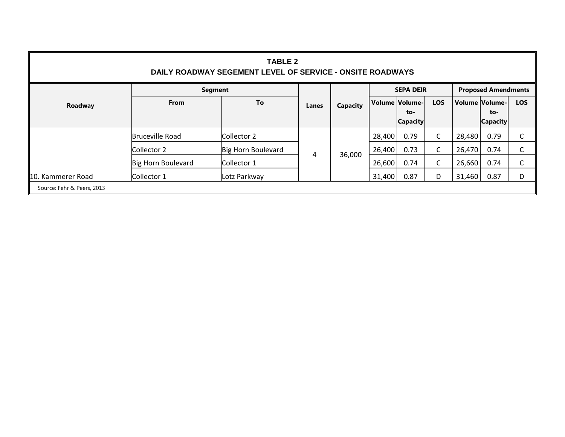| <b>TABLE 2</b><br>DAILY ROADWAY SEGEMENT LEVEL OF SERVICE - ONSITE ROADWAYS |                        |                    |       |                  |        |                        |                            |        |                        |            |
|-----------------------------------------------------------------------------|------------------------|--------------------|-------|------------------|--------|------------------------|----------------------------|--------|------------------------|------------|
|                                                                             | Segment                |                    |       | <b>SEPA DEIR</b> |        |                        | <b>Proposed Amendments</b> |        |                        |            |
| Roadway                                                                     | <b>From</b>            | To                 | Lanes | <b>Capacity</b>  |        | Volume   Volume -      | <b>LOS</b>                 |        | Volume Volume-         | <b>LOS</b> |
|                                                                             |                        |                    |       |                  |        | to-<br><b>Capacity</b> |                            |        | to-<br><b>Capacity</b> |            |
|                                                                             | <b>Bruceville Road</b> | Collector 2        |       |                  | 28,400 | 0.79                   | C                          | 28,480 | 0.79                   | C          |
|                                                                             | Collector 2            | Big Horn Boulevard |       |                  | 26,400 | 0.73                   | С                          | 26,470 | 0.74                   | C          |
|                                                                             | Big Horn Boulevard     | Collector 1        | 4     | 36,000           | 26,600 | 0.74                   | C                          | 26,660 | 0.74                   | C          |
| 10. Kammerer Road                                                           | Collector 1            | Lotz Parkway       |       |                  | 31,400 | 0.87                   | D                          | 31,460 | 0.87                   | D          |
| Source: Fehr & Peers, 2013                                                  |                        |                    |       |                  |        |                        |                            |        |                        |            |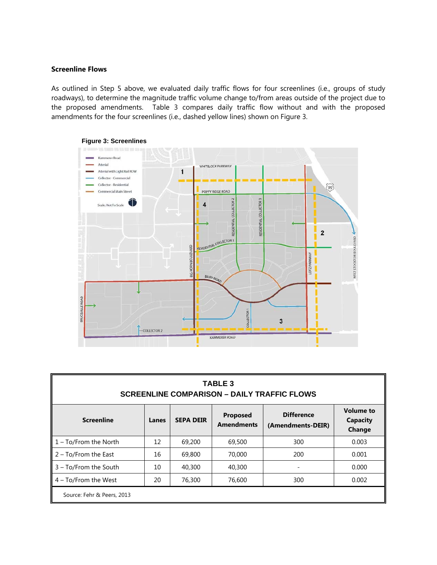#### **Screenline Flows**

As outlined in Step 5 above, we evaluated daily traffic flows for four screenlines (i.e., groups of study roadways), to determine the magnitude traffic volume change to/from areas outside of the project due to the proposed amendments. Table 3 compares daily traffic flow without and with the proposed amendments for the four screenlines (i.e., dashed yellow lines) shown on Figure 3.



| <b>TABLE 3</b><br><b>SCREENLINE COMPARISON - DAILY TRAFFIC FLOWS</b> |       |                  |                               |                                        |                                               |  |  |  |
|----------------------------------------------------------------------|-------|------------------|-------------------------------|----------------------------------------|-----------------------------------------------|--|--|--|
| <b>Screenline</b>                                                    | Lanes | <b>SEPA DEIR</b> | Proposed<br><b>Amendments</b> | <b>Difference</b><br>(Amendments-DEIR) | <b>Volume to</b><br><b>Capacity</b><br>Change |  |  |  |
| 1 - To/From the North                                                | 12    | 69,200           | 69,500                        | 300                                    | 0.003                                         |  |  |  |
| 2 – To/From the East                                                 | 16    | 69,800           | 70,000                        | 200                                    | 0.001                                         |  |  |  |
| 3 - To/From the South                                                | 10    | 40,300           | 40,300                        |                                        | 0.000                                         |  |  |  |

4 – To/From the West  $\begin{array}{|c|c|c|c|c|c|c|c|} \hline \end{array}$  20  $\begin{array}{|c|c|c|c|c|c|c|c|} \hline \end{array}$  76,600 300 300  $\begin{array}{|c|c|c|c|c|c|c|c|} \hline \end{array}$ 

**Figure 3: Screenlines** 

| Source: Fehr & Peers, 2013 |  |  |
|----------------------------|--|--|
|                            |  |  |